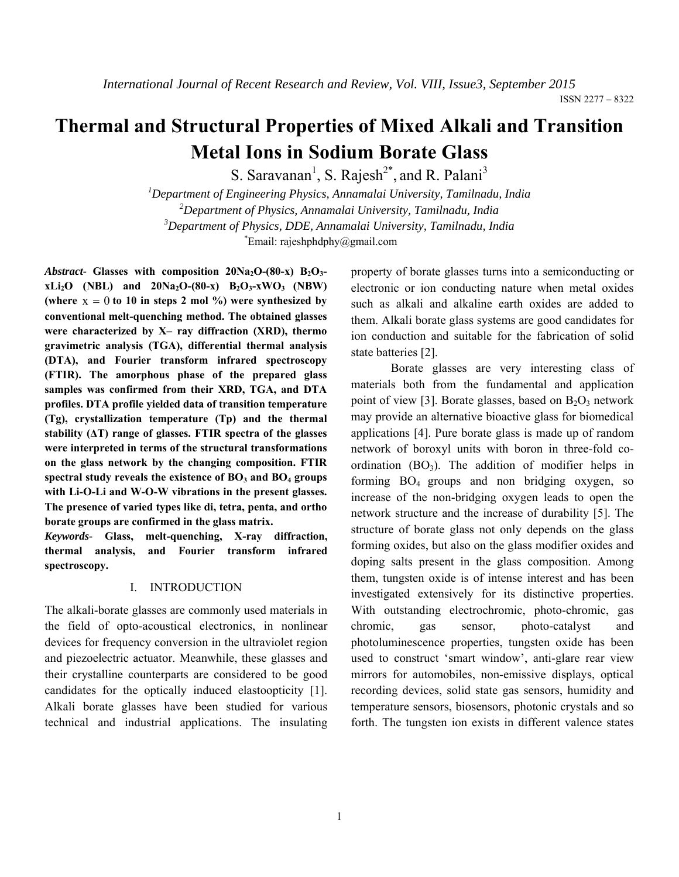# **Thermal and Structural Properties of Mixed Alkali and Transition Metal Ions in Sodium Borate Glass**

S. Saravanan<sup>1</sup>, S. Rajesh<sup>2\*</sup>, and R. Palani<sup>3</sup>

 *Department of Engineering Physics, Annamalai University, Tamilnadu, India Department of Physics, Annamalai University, Tamilnadu, India Department of Physics, DDE, Annamalai University, Tamilnadu, India*  $E$ mail: rajeshphdphy $@g$ mail.com

Abstract- Glasses with composition  $20Na<sub>2</sub>O-(80-x) B<sub>2</sub>O<sub>3</sub>$  $xLi_2O$  (NBL) and  $20Na_2O-(80-x)$   $B_2O_3-xWO_3$  (NBW) (where  $x = 0$  to 10 in steps 2 mol %) were synthesized by **conventional melt-quenching method. The obtained glasses were characterized by X– ray diffraction (XRD), thermo gravimetric analysis (TGA), differential thermal analysis (DTA), and Fourier transform infrared spectroscopy (FTIR). The amorphous phase of the prepared glass samples was confirmed from their XRD, TGA, and DTA profiles. DTA profile yielded data of transition temperature (Tg), crystallization temperature (Tp) and the thermal stability (ΔT) range of glasses. FTIR spectra of the glasses were interpreted in terms of the structural transformations on the glass network by the changing composition. FTIR**  spectral study reveals the existence of BO<sub>3</sub> and BO<sub>4</sub> groups **with Li-O-Li and W-O-W vibrations in the present glasses. The presence of varied types like di, tetra, penta, and ortho borate groups are confirmed in the glass matrix.**

*Keywords-* **Glass, melt-quenching, X-ray diffraction, thermal analysis, and Fourier transform infrared spectroscopy.**

## I. INTRODUCTION

The alkali-borate glasses are commonly used materials in the field of opto-acoustical electronics, in nonlinear devices for frequency conversion in the ultraviolet region and piezoelectric actuator. Meanwhile, these glasses and their crystalline counterparts are considered to be good candidates for the optically induced elastoopticity [1]. Alkali borate glasses have been studied for various technical and industrial applications. The insulating property of borate glasses turns into a semiconducting or electronic or ion conducting nature when metal oxides such as alkali and alkaline earth oxides are added to them. Alkali borate glass systems are good candidates for ion conduction and suitable for the fabrication of solid state batteries [2].

 Borate glasses are very interesting class of materials both from the fundamental and application point of view [3]. Borate glasses, based on  $B_2O_3$  network may provide an alternative bioactive glass for biomedical applications [4]. Pure borate glass is made up of random network of boroxyl units with boron in three-fold coordination  $(BO_3)$ . The addition of modifier helps in forming BO4 groups and non bridging oxygen, so increase of the non-bridging oxygen leads to open the network structure and the increase of durability [5]. The structure of borate glass not only depends on the glass forming oxides, but also on the glass modifier oxides and doping salts present in the glass composition. Among them, tungsten oxide is of intense interest and has been investigated extensively for its distinctive properties. With outstanding electrochromic, photo-chromic, gas chromic, gas sensor, photo-catalyst and photoluminescence properties, tungsten oxide has been used to construct 'smart window', anti-glare rear view mirrors for automobiles, non-emissive displays, optical recording devices, solid state gas sensors, humidity and temperature sensors, biosensors, photonic crystals and so forth. The tungsten ion exists in different valence states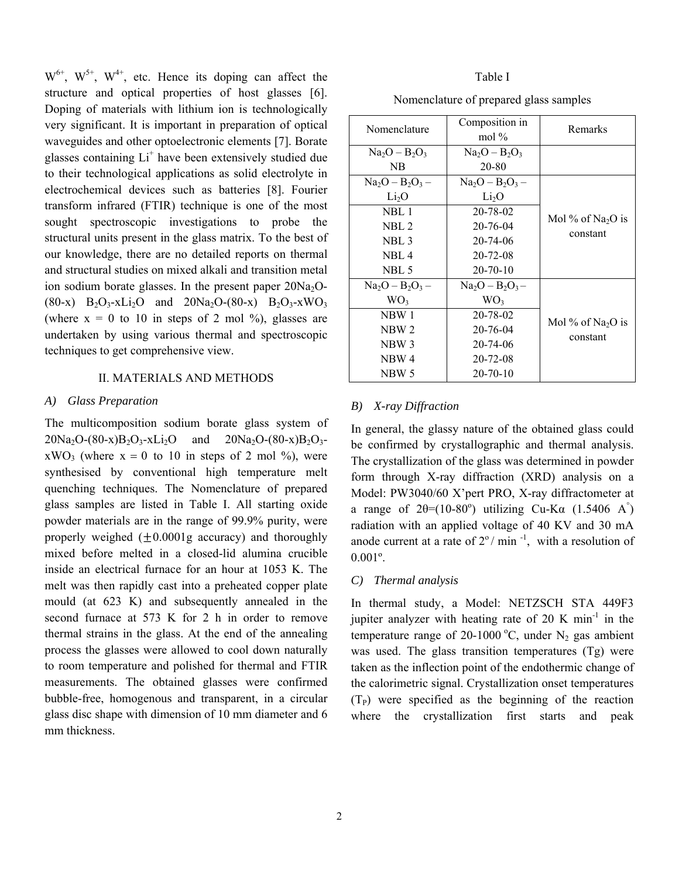$W^{6+}$ ,  $W^{5+}$ ,  $W^{4+}$ , etc. Hence its doping can affect the structure and optical properties of host glasses [6]. Doping of materials with lithium ion is technologically very significant. It is important in preparation of optical waveguides and other optoelectronic elements [7]. Borate glasses containing Li<sup>+</sup> have been extensively studied due to their technological applications as solid electrolyte in electrochemical devices such as batteries [8]. Fourier transform infrared (FTIR) technique is one of the most sought spectroscopic investigations to probe the structural units present in the glass matrix. To the best of our knowledge, there are no detailed reports on thermal and structural studies on mixed alkali and transition metal ion sodium borate glasses. In the present paper  $20Na<sub>2</sub>O (80-x)$  B<sub>2</sub>O<sub>3</sub>-xLi<sub>2</sub>O and 20Na<sub>2</sub>O-(80-x) B<sub>2</sub>O<sub>3</sub>-xWO<sub>3</sub> (where  $x = 0$  to 10 in steps of 2 mol %), glasses are undertaken by using various thermal and spectroscopic techniques to get comprehensive view.

## II. MATERIALS AND METHODS

#### *A) Glass Preparation*

The multicomposition sodium borate glass system of  $20Na_2O-(80-x)B_2O_3-xLi_2O$  and  $20Na_2O-(80-x)B_2O_3$  $xWO_3$  (where  $x = 0$  to 10 in steps of 2 mol %), were synthesised by conventional high temperature melt quenching techniques. The Nomenclature of prepared glass samples are listed in Table I. All starting oxide powder materials are in the range of 99.9% purity, were properly weighed  $(+0.0001g$  accuracy) and thoroughly mixed before melted in a closed-lid alumina crucible inside an electrical furnace for an hour at 1053 K. The melt was then rapidly cast into a preheated copper plate mould (at 623 K) and subsequently annealed in the second furnace at 573 K for 2 h in order to remove thermal strains in the glass. At the end of the annealing process the glasses were allowed to cool down naturally to room temperature and polished for thermal and FTIR measurements. The obtained glasses were confirmed bubble-free, homogenous and transparent, in a circular glass disc shape with dimension of 10 mm diameter and 6 mm thickness.

#### Table I

| Nomenclature       | Composition in<br>mol $\%$ | Remarks                                   |  |
|--------------------|----------------------------|-------------------------------------------|--|
| $Na2O - B2O3$      | $Na2O - B2O3$              |                                           |  |
| NB                 | 20-80                      |                                           |  |
| $Na2O - B2O3 -$    | $Na2O - B2O3 -$            |                                           |  |
| Li <sub>2</sub> O  | Li <sub>2</sub> O          | Mol % of Na <sub>2</sub> O is<br>constant |  |
| NBL 1              | 20-78-02                   |                                           |  |
| NBL <sub>2</sub>   | 20-76-04                   |                                           |  |
| NBL <sub>3</sub>   | 20-74-06                   |                                           |  |
| NBL4               | 20-72-08                   |                                           |  |
| NBL 5              | $20 - 70 - 10$             |                                           |  |
| $Na_2O - B_2O_3 -$ | $Na2O - B2O3 -$            |                                           |  |
| WO <sub>3</sub>    | WO <sub>3</sub>            |                                           |  |
| NBW 1              | 20-78-02                   | Mol % of Na <sub>2</sub> O is<br>constant |  |
| NBW 2              | 20-76-04                   |                                           |  |
| NBW <sub>3</sub>   | $20 - 74 - 06$             |                                           |  |
| NBW 4              | $20 - 72 - 08$             |                                           |  |
| NBW 5              | $20 - 70 - 10$             |                                           |  |

### *B) X-ray Diffraction*

In general, the glassy nature of the obtained glass could be confirmed by crystallographic and thermal analysis. The crystallization of the glass was determined in powder form through X-ray diffraction (XRD) analysis on a Model: PW3040/60 X'pert PRO, X-ray diffractometer at a range of  $2\theta = (10-80^\circ)$  utilizing Cu-Ka  $(1.5406 \text{ A}^\circ)$ radiation with an applied voltage of 40 KV and 30 mA anode current at a rate of  $2^{\circ}$  / min<sup>-1</sup>, with a resolution of 0.001º.

### *C) Thermal analysis*

In thermal study, a Model: NETZSCH STA 449F3 jupiter analyzer with heating rate of 20 K min<sup>-1</sup> in the temperature range of 20-1000 °C, under  $N_2$  gas ambient was used. The glass transition temperatures (Tg) were taken as the inflection point of the endothermic change of the calorimetric signal. Crystallization onset temperatures  $(T_P)$  were specified as the beginning of the reaction where the crystallization first starts and peak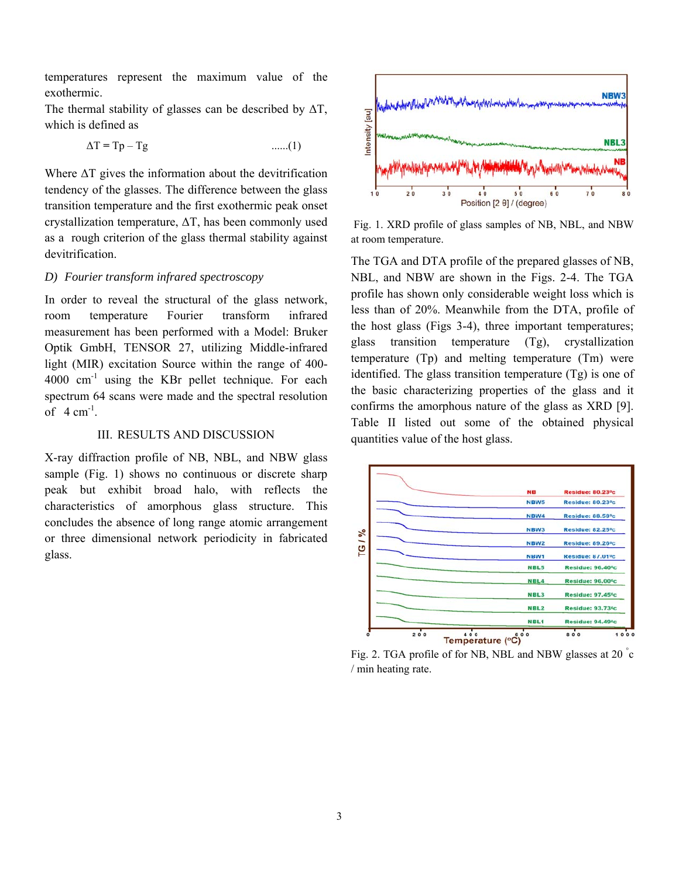temperatures represent the maximum value of the exothermic.

The thermal stability of glasses can be described by  $\Delta T$ , which is defined as

$$
\Delta T = Tp - Tg \qquad \qquad \dots (1)
$$

Where  $\Delta T$  gives the information about the devitrification tendency of the glasses. The difference between the glass transition temperature and the first exothermic peak onset crystallization temperature, ΔT, has been commonly used as a rough criterion of the glass thermal stability against devitrification.

## *D) Fourier transform infrared spectroscopy*

In order to reveal the structural of the glass network, room temperature Fourier transform infrared measurement has been performed with a Model: Bruker Optik GmbH, TENSOR 27, utilizing Middle-infrared light (MIR) excitation Source within the range of 400-  $4000 \text{ cm}^{-1}$  using the KBr pellet technique. For each spectrum 64 scans were made and the spectral resolution of  $4 \text{ cm}^{-1}$ .

## III. RESULTS AND DISCUSSION

X-ray diffraction profile of NB, NBL, and NBW glass sample (Fig. 1) shows no continuous or discrete sharp peak but exhibit broad halo, with reflects the characteristics of amorphous glass structure. This concludes the absence of long range atomic arrangement or three dimensional network periodicity in fabricated glass.



 Fig. 1. XRD profile of glass samples of NB, NBL, and NBW at room temperature.

The TGA and DTA profile of the prepared glasses of NB, NBL, and NBW are shown in the Figs. 2-4. The TGA profile has shown only considerable weight loss which is less than of 20%. Meanwhile from the DTA, profile of the host glass (Figs 3-4), three important temperatures; glass transition temperature (Tg), crystallization temperature (Tp) and melting temperature (Tm) were identified. The glass transition temperature (Tg) is one of the basic characterizing properties of the glass and it confirms the amorphous nature of the glass as XRD [9]. Table II listed out some of the obtained physical quantities value of the host glass.



Fig. 2. TGA profile of for NB, NBL and NBW glasses at 20 °C / min heating rate.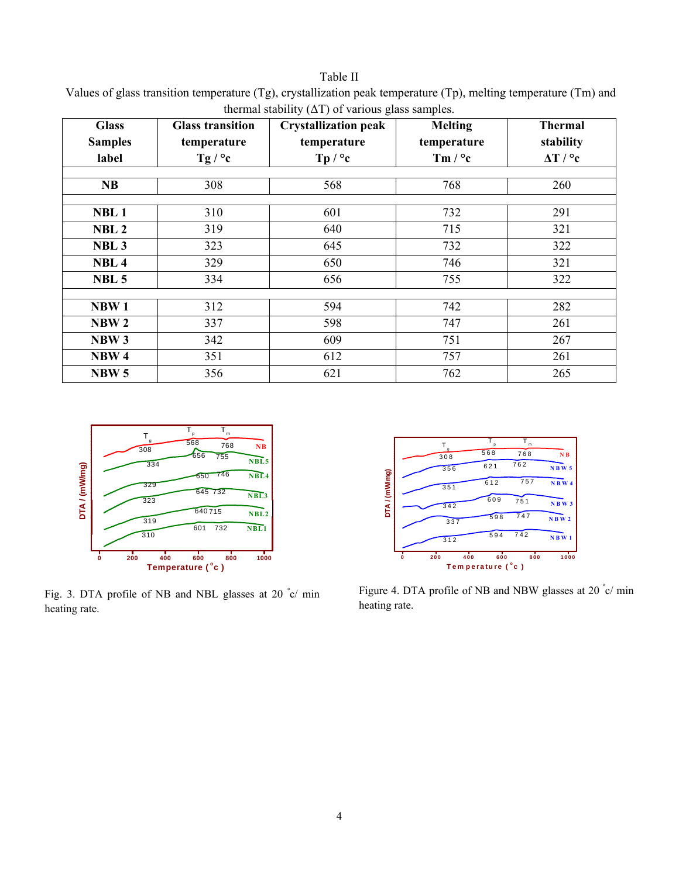## Table II

Values of glass transition temperature (Tg), crystallization peak temperature (Tp), melting temperature (Tm) and thermal stability  $(ΔT)$  of various glass samples.

| <b>Glass</b>     | <b>Glass transition</b> | <b>Crystallization peak</b> | <b>Melting</b> | <b>Thermal</b> |
|------------------|-------------------------|-----------------------------|----------------|----------------|
| <b>Samples</b>   | temperature             | temperature                 | temperature    | stability      |
| label            | Tg / $^{\circ}$ c       | Tp / °c                     | Tm $/$ °c      | $\Delta T / C$ |
|                  |                         |                             |                |                |
| <b>NB</b>        | 308                     | 568                         | 768            | 260            |
|                  |                         |                             |                |                |
| NBL <sub>1</sub> | 310                     | 601                         | 732            | 291            |
| NBL <sub>2</sub> | 319                     | 640                         | 715            | 321            |
| NBL <sub>3</sub> | 323                     | 645                         | 732            | 322            |
| NBL <sub>4</sub> | 329                     | 650                         | 746            | 321            |
| NBL <sub>5</sub> | 334                     | 656                         | 755            | 322            |
|                  |                         |                             |                |                |
| NBW <sub>1</sub> | 312                     | 594                         | 742            | 282            |
| NBW <sub>2</sub> | 337                     | 598                         | 747            | 261            |
| NBW <sub>3</sub> | 342                     | 609                         | 751            | 267            |
| NBW <sub>4</sub> | 351                     | 612                         | 757            | 261            |
| NBW <sub>5</sub> | 356                     | 621                         | 762            | 265            |



Fig. 3. DTA profile of NB and NBL glasses at 20 °c/ min heating rate.



Figure 4. DTA profile of NB and NBW glasses at 20 °c/ min heating rate.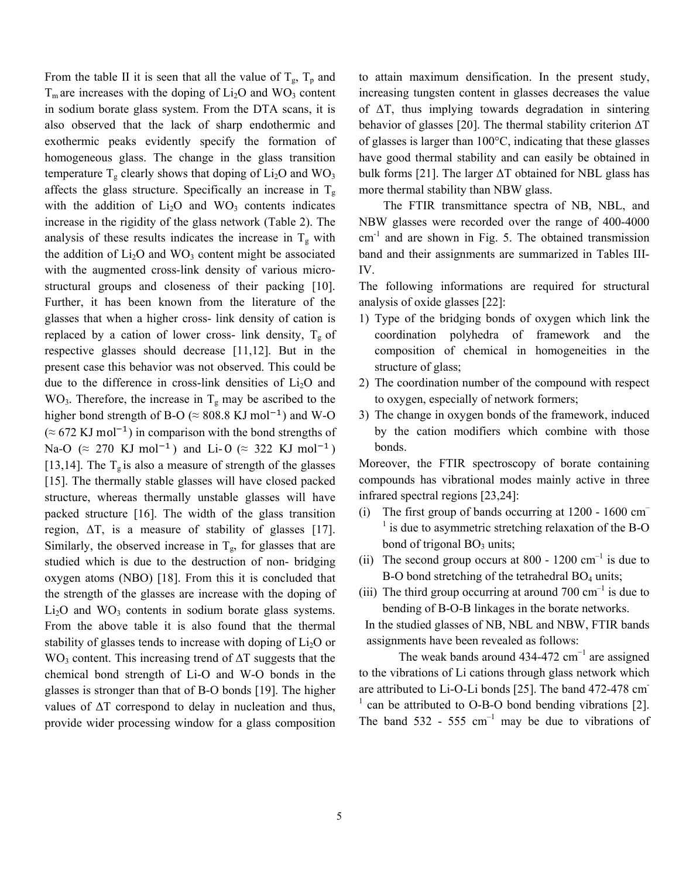From the table II it is seen that all the value of  $T_g$ ,  $T_p$  and  $T_m$  are increases with the doping of  $Li_2O$  and  $WO_3$  content in sodium borate glass system. From the DTA scans, it is also observed that the lack of sharp endothermic and exothermic peaks evidently specify the formation of homogeneous glass. The change in the glass transition temperature  $T_g$  clearly shows that doping of  $Li_2O$  and  $WO_3$ affects the glass structure. Specifically an increase in  $T_g$ with the addition of  $Li<sub>2</sub>O$  and WO<sub>3</sub> contents indicates increase in the rigidity of the glass network (Table 2). The analysis of these results indicates the increase in  $T_g$  with the addition of  $Li<sub>2</sub>O$  and WO<sub>3</sub> content might be associated with the augmented cross-link density of various microstructural groups and closeness of their packing [10]. Further, it has been known from the literature of the glasses that when a higher cross- link density of cation is replaced by a cation of lower cross- link density,  $T_{g}$  of respective glasses should decrease [11,12]. But in the present case this behavior was not observed. This could be due to the difference in cross-link densities of  $Li<sub>2</sub>O$  and  $WO<sub>3</sub>$ . Therefore, the increase in T<sub>g</sub> may be ascribed to the higher bond strength of B-O ( $\approx$  808.8 KJ mol<sup>-1</sup>) and W-O  $(\approx 672 \text{ KJ mol}^{-1})$  in comparison with the bond strengths of Na-O ( $\approx$  270 KJ mol<sup>-1</sup>) and Li-O ( $\approx$  322 KJ mol<sup>-1</sup>) [13,14]. The  $T_g$  is also a measure of strength of the glasses [15]. The thermally stable glasses will have closed packed structure, whereas thermally unstable glasses will have packed structure [16]. The width of the glass transition region,  $\Delta T$ , is a measure of stability of glasses [17]. Similarly, the observed increase in  $T_{\rm g}$ , for glasses that are studied which is due to the destruction of non- bridging oxygen atoms (NBO) [18]. From this it is concluded that the strength of the glasses are increase with the doping of  $Li<sub>2</sub>O$  and WO<sub>3</sub> contents in sodium borate glass systems. From the above table it is also found that the thermal stability of glasses tends to increase with doping of  $Li<sub>2</sub>O$  or WO<sub>3</sub> content. This increasing trend of ∆T suggests that the chemical bond strength of Li-O and W-O bonds in the glasses is stronger than that of B-O bonds [19]. The higher values of  $\Delta T$  correspond to delay in nucleation and thus, provide wider processing window for a glass composition to attain maximum densification. In the present study, increasing tungsten content in glasses decreases the value of  $\Delta T$ , thus implying towards degradation in sintering behavior of glasses [20]. The thermal stability criterion ∆T of glasses is larger than 100°C, indicating that these glasses have good thermal stability and can easily be obtained in bulk forms [21]. The larger  $\Delta T$  obtained for NBL glass has more thermal stability than NBW glass.

 The FTIR transmittance spectra of NB, NBL, and NBW glasses were recorded over the range of 400-4000  $cm<sup>-1</sup>$  and are shown in Fig. 5. The obtained transmission band and their assignments are summarized in Tables III-IV.

The following informations are required for structural analysis of oxide glasses [22]:

- 1) Type of the bridging bonds of oxygen which link the coordination polyhedra of framework and the composition of chemical in homogeneities in the structure of glass;
- 2) The coordination number of the compound with respect to oxygen, especially of network formers;
- 3) The change in oxygen bonds of the framework, induced by the cation modifiers which combine with those bonds.

Moreover, the FTIR spectroscopy of borate containing compounds has vibrational modes mainly active in three infrared spectral regions [23,24]:

- (i) The first group of bands occurring at 1200 1600 cm–  $<sup>1</sup>$  is due to asymmetric stretching relaxation of the B-O</sup> bond of trigonal  $BO_3$  units;
- (ii) The second group occurs at 800 1200  $\text{cm}^{-1}$  is due to B-O bond stretching of the tetrahedral  $BO<sub>4</sub>$  units;
- (iii) The third group occurring at around  $700 \text{ cm}^{-1}$  is due to bending of B-O-B linkages in the borate networks.

 In the studied glasses of NB, NBL and NBW, FTIR bands assignments have been revealed as follows:

The weak bands around  $434-472$  cm<sup>-1</sup> are assigned to the vibrations of Li cations through glass network which are attributed to Li-O-Li bonds [25]. The band 472-478 cm- $\frac{1}{2}$  can be attributed to O-B-O bond bending vibrations [2]. The band  $532 - 555$  cm<sup>-1</sup> may be due to vibrations of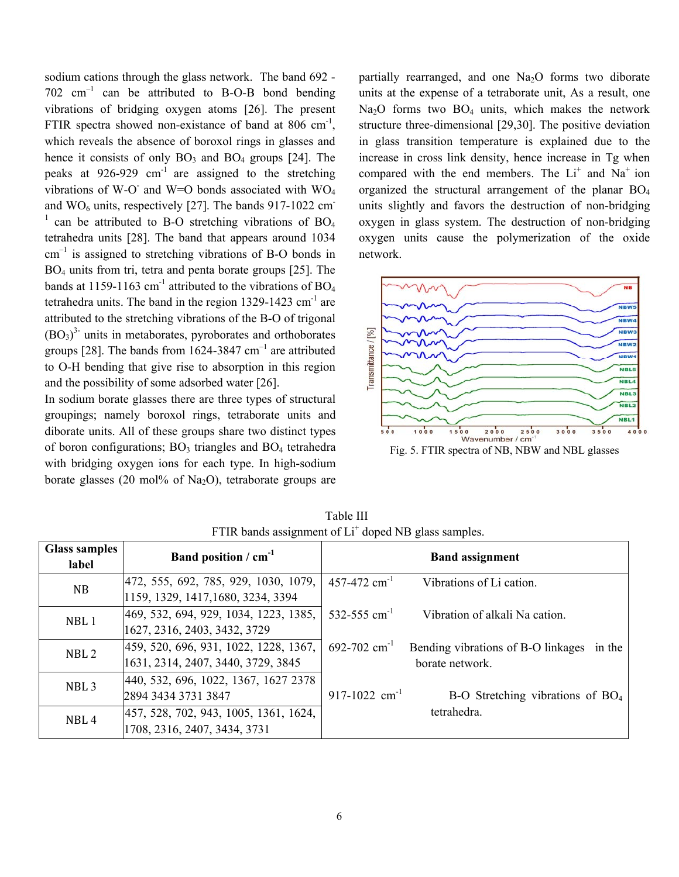sodium cations through the glass network. The band 692 -  $702 \text{ cm}^{-1}$  can be attributed to B-O-B bond bending vibrations of bridging oxygen atoms [26]. The present FTIR spectra showed non-existance of band at 806 cm<sup>-1</sup>, which reveals the absence of boroxol rings in glasses and hence it consists of only  $BO_3$  and  $BO_4$  groups [24]. The peaks at  $926-929$  cm<sup>-1</sup> are assigned to the stretching vibrations of W-O and W=O bonds associated with  $WO_4$ and  $WO<sub>6</sub> units$ , respectively [27]. The bands 917-1022 cm  $1$  can be attributed to B-O stretching vibrations of BO<sub>4</sub> tetrahedra units [28]. The band that appears around 1034  $cm^{-1}$  is assigned to stretching vibrations of B-O bonds in BO4 units from tri, tetra and penta borate groups [25]. The bands at 1159-1163 cm<sup>-1</sup> attributed to the vibrations of  $BO<sub>4</sub>$ tetrahedra units. The band in the region  $1329-1423$  cm<sup>-1</sup> are attributed to the stretching vibrations of the B-O of trigonal  $(BO<sub>3</sub>)<sup>3</sup>$  units in metaborates, pyroborates and orthoborates groups [28]. The bands from  $1624-3847$  cm<sup>-1</sup> are attributed to O-H bending that give rise to absorption in this region and the possibility of some adsorbed water [26].

In sodium borate glasses there are three types of structural groupings; namely boroxol rings, tetraborate units and diborate units. All of these groups share two distinct types of boron configurations;  $BO_3$  triangles and  $BO_4$  tetrahedra with bridging oxygen ions for each type. In high-sodium borate glasses (20 mol% of Na<sub>2</sub>O), tetraborate groups are

partially rearranged, and one  $Na<sub>2</sub>O$  forms two diborate units at the expense of a tetraborate unit, As a result, one Na<sub>2</sub>O forms two BO<sub>4</sub> units, which makes the network structure three-dimensional [29,30]. The positive deviation in glass transition temperature is explained due to the increase in cross link density, hence increase in Tg when compared with the end members. The  $Li<sup>+</sup>$  and  $Na<sup>+</sup>$  ion organized the structural arrangement of the planar  $BO<sub>4</sub>$ units slightly and favors the destruction of non-bridging oxygen in glass system. The destruction of non-bridging oxygen units cause the polymerization of the oxide network.



Fig. 5. FTIR spectra of NB, NBW and NBL glasses

| <b>Glass samples</b><br>label | Band position / $cm-1$                                                      | <b>Band assignment</b>                                                            |
|-------------------------------|-----------------------------------------------------------------------------|-----------------------------------------------------------------------------------|
| NB                            | 472, 555, 692, 785, 929, 1030, 1079,<br>1159, 1329, 1417, 1680, 3234, 3394  | $457 - 472$ cm <sup>-1</sup><br>Vibrations of Li cation.                          |
| NBL1                          | 469, 532, 694, 929, 1034, 1223, 1385,                                       | 532-555 cm <sup>-1</sup><br>Vibration of alkali Na cation.                        |
|                               | 1627, 2316, 2403, 3432, 3729                                                |                                                                                   |
| NBL <sub>2</sub>              | 459, 520, 696, 931, 1022, 1228, 1367,<br>1631, 2314, 2407, 3440, 3729, 3845 | 692-702 $cm^{-1}$<br>Bending vibrations of B-O linkages in the<br>borate network. |
| NBL <sub>3</sub>              | 440, 532, 696, 1022, 1367, 1627 2378<br>2894 3434 3731 3847                 | 917-1022 $cm^{-1}$<br>$B-O$ Stretching vibrations of $BO4$                        |
| NBL <sub>4</sub>              | 457, 528, 702, 943, 1005, 1361, 1624,<br>1708, 2316, 2407, 3434, 3731       | tetrahedra.                                                                       |

Table III FTIR bands assignment of Li<sup>+</sup> doped NB glass samples.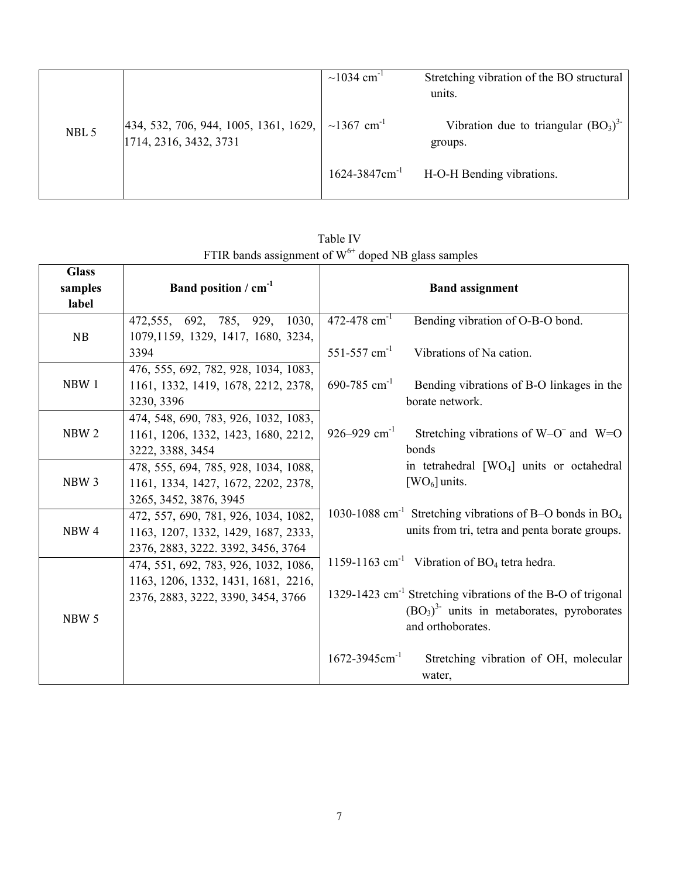|       |                                                                      | $\sim$ 1034 cm <sup>-1</sup>   | Stretching vibration of the BO structural<br>units. |
|-------|----------------------------------------------------------------------|--------------------------------|-----------------------------------------------------|
| NBL 5 | $ 434, 532, 706, 944, 1005, 1361, 1629,  $<br>1714, 2316, 3432, 3731 | ~1367 cm <sup>-1</sup>         | Vibration due to triangular $(BO_3)^3$<br>groups.   |
|       |                                                                      | $1624 - 3847$ cm <sup>-1</sup> | H-O-H Bending vibrations.                           |

**Glass samples label**  Band position / cm<sup>-1</sup> and assignment NB 472,555, 692, 785, 929, 1030, 1079,1159, 1329, 1417, 1680, 3234, 3394  $472-478$  cm<sup>-1</sup> Bending vibration of O-B-O bond. 551-557  $cm<sup>-1</sup>$  Vibrations of Na cation.  $690-785$  cm<sup>-1</sup> Bending vibrations of B-O linkages in the borate network. 926–929 cm<sup>-1</sup> Stretching vibrations of W–O<sup>–</sup> and W=O bonds in tetrahedral [WO4] units or octahedral  $[WO<sub>6</sub>]$  units. 1030-1088 cm<sup>-1</sup> Stretching vibrations of B-O bonds in BO<sub>4</sub> units from tri, tetra and penta borate groups. 1159-1163  $cm<sup>-1</sup>$  Vibration of BO<sub>4</sub> tetra hedra. 1329-1423 cm-1 Stretching vibrations of the B-O of trigonal  $(BO<sub>3</sub>)<sup>3</sup>$  units in metaborates, pyroborates and orthoborates. 1672-3945cm-1 Stretching vibration of OH, molecular water, NBW 1 476, 555, 692, 782, 928, 1034, 1083, 1161, 1332, 1419, 1678, 2212, 2378, 3230, 3396 NBW 2 474, 548, 690, 783, 926, 1032, 1083, 1161, 1206, 1332, 1423, 1680, 2212, 3222, 3388, 3454 NBW 3 478, 555, 694, 785, 928, 1034, 1088, 1161, 1334, 1427, 1672, 2202, 2378, 3265, 3452, 3876, 3945 NBW 4 472, 557, 690, 781, 926, 1034, 1082, 1163, 1207, 1332, 1429, 1687, 2333, 2376, 2883, 3222. 3392, 3456, 3764 NBW 5 474, 551, 692, 783, 926, 1032, 1086, 1163, 1206, 1332, 1431, 1681, 2216, 2376, 2883, 3222, 3390, 3454, 3766

Table IV FTIR bands assignment of  $W^{6+}$  doped NB glass samples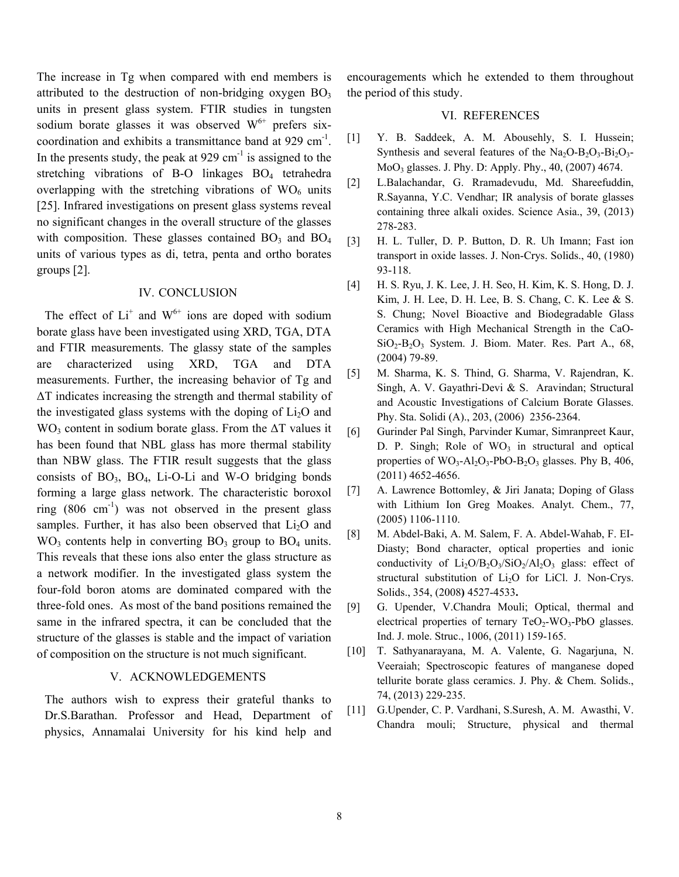The increase in Tg when compared with end members is attributed to the destruction of non-bridging oxygen  $BO<sub>3</sub>$ units in present glass system. FTIR studies in tungsten sodium borate glasses it was observed  $W^{6+}$  prefers sixcoordination and exhibits a transmittance band at 929 cm-1. In the presents study, the peak at  $929 \text{ cm}^{-1}$  is assigned to the stretching vibrations of B-O linkages BO<sub>4</sub> tetrahedra overlapping with the stretching vibrations of  $WO<sub>6</sub>$  units [25]. Infrared investigations on present glass systems reveal no significant changes in the overall structure of the glasses with composition. These glasses contained  $BO_3$  and  $BO_4$ units of various types as di, tetra, penta and ortho borates groups [2].

## IV. CONCLUSION

The effect of  $Li^+$  and  $W^{6+}$  ions are doped with sodium borate glass have been investigated using XRD, TGA, DTA and FTIR measurements. The glassy state of the samples are characterized using XRD, TGA and DTA measurements. Further, the increasing behavior of Tg and ΔT indicates increasing the strength and thermal stability of the investigated glass systems with the doping of  $Li<sub>2</sub>O$  and  $WO<sub>3</sub>$  content in sodium borate glass. From the  $\Delta T$  values it has been found that NBL glass has more thermal stability than NBW glass. The FTIR result suggests that the glass consists of  $BO_3$ ,  $BO_4$ , Li-O-Li and W-O bridging bonds forming a large glass network. The characteristic boroxol ring  $(806 \text{ cm}^{-1})$  was not observed in the present glass samples. Further, it has also been observed that  $Li<sub>2</sub>O$  and  $WO<sub>3</sub>$  contents help in converting  $BO<sub>3</sub>$  group to  $BO<sub>4</sub>$  units. This reveals that these ions also enter the glass structure as a network modifier. In the investigated glass system the four-fold boron atoms are dominated compared with the three-fold ones. As most of the band positions remained the same in the infrared spectra, it can be concluded that the structure of the glasses is stable and the impact of variation of composition on the structure is not much significant.

## V. ACKNOWLEDGEMENTS

The authors wish to express their grateful thanks to Dr.S.Barathan. Professor and Head, Department of physics, Annamalai University for his kind help and encouragements which he extended to them throughout the period of this study.

#### VI. REFERENCES

- [1] Y. B. Saddeek, A. M. Abousehly, S. I. Hussein; Synthesis and several features of the  $Na<sub>2</sub>O-B<sub>2</sub>O<sub>3</sub>-Bi<sub>2</sub>O<sub>3</sub>$ -MoO3 glasses. J. Phy. D: Apply. Phy., 40, (2007) 4674.
- [2] L.Balachandar, G. Rramadevudu, Md. Shareefuddin, R.Sayanna, Y.C. Vendhar; IR analysis of borate glasses containing three alkali oxides. Science Asia., 39, (2013) 278-283.
- [3] H. L. Tuller, D. P. Button, D. R. Uh Imann; Fast ion transport in oxide lasses. J. Non-Crys. Solids., 40, (1980) 93-118.
- [4] H. S. Ryu, J. K. Lee, J. H. Seo, H. Kim, K. S. Hong, D. J. Kim, J. H. Lee, D. H. Lee, B. S. Chang, C. K. Lee & S. S. Chung; Novel Bioactive and Biodegradable Glass Ceramics with High Mechanical Strength in the CaO- $SiO<sub>2</sub>-B<sub>2</sub>O<sub>3</sub>$  System. J. Biom. Mater. Res. Part A., 68, (2004) 79-89.
- [5] M. Sharma, K. S. Thind, G. Sharma, V. Rajendran, K. Singh, A. V. Gayathri-Devi & S. Aravindan; Structural and Acoustic Investigations of Calcium Borate Glasses. Phy. Sta. Solidi (A)., 203, (2006) 2356-2364.
- [6] Gurinder Pal Singh, Parvinder Kumar, Simranpreet Kaur, D. P. Singh; Role of  $WO_3$  in structural and optical properties of  $WO_3$ -Al<sub>2</sub>O<sub>3</sub>-PbO-B<sub>2</sub>O<sub>3</sub> glasses. Phy B, 406, (2011) 4652-4656.
- [7] A. Lawrence Bottomley, & Jiri Janata; Doping of Glass with Lithium Ion Greg Moakes. Analyt. Chem., 77, (2005) 1106-1110.
- [8] M. Abdel-Baki, A. M. Salem, F. A. Abdel-Wahab, F. EI-Diasty; Bond character, optical properties and ionic conductivity of  $Li_2O/B_2O_3/SiO_2/Al_2O_3$  glass: effect of structural substitution of Li2O for LiCl. J. Non-Crys. Solids., 354, (2008**)** 4527-4533**.**
- [9] G. Upender, V.Chandra Mouli; Optical, thermal and electrical properties of ternary  $TeO<sub>2</sub>-WO<sub>3</sub>-PbO$  glasses. Ind. J. mole. Struc., 1006, (2011) 159-165.
- [10] T. Sathyanarayana, M. A. Valente, G. Nagarjuna, N. Veeraiah; Spectroscopic features of manganese doped tellurite borate glass ceramics. J. Phy. & Chem. Solids., 74, (2013) 229-235.
- [11] G.Upender, C. P. Vardhani, S.Suresh, A. M. Awasthi, V. Chandra mouli; Structure, physical and thermal